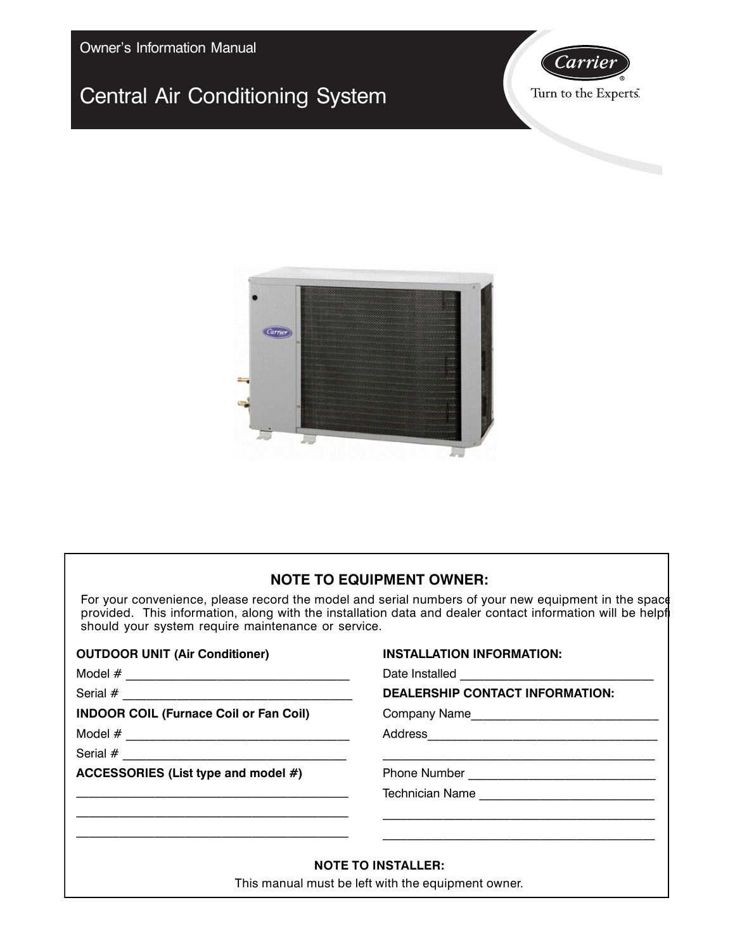Owner's Information Manual

# Central Air Conditioning System





### **NOTE TO EQUIPMENT OWNER:**

For your convenience, please record the model and serial numbers of your new equipment in the space provided. This information, along with the installation data and dealer contact information will be helpf should your system require maintenance or service.

| <b>OUTDOOR UNIT (Air Conditioner)</b>         | <b>INSTALLATION INFORMATION:</b>                                                                                                                                                     |
|-----------------------------------------------|--------------------------------------------------------------------------------------------------------------------------------------------------------------------------------------|
|                                               |                                                                                                                                                                                      |
|                                               | <b>DEALERSHIP CONTACT INFORMATION:</b>                                                                                                                                               |
| <b>INDOOR COIL (Furnace Coil or Fan Coil)</b> |                                                                                                                                                                                      |
|                                               |                                                                                                                                                                                      |
|                                               |                                                                                                                                                                                      |
| ACCESSORIES (List type and model #)           |                                                                                                                                                                                      |
|                                               |                                                                                                                                                                                      |
|                                               | <u> 1989 - Johann Stoff, amerikansk politiker (d. 1989)</u><br><u> 1989 - Johann Stoff, deutscher Stoff, der Stoff, der Stoff, der Stoff, der Stoff, der Stoff, der Stoff, der S</u> |
|                                               | <b>NOTE TO INSTALLER:</b>                                                                                                                                                            |
|                                               | This manual must be left with the equipment owner.                                                                                                                                   |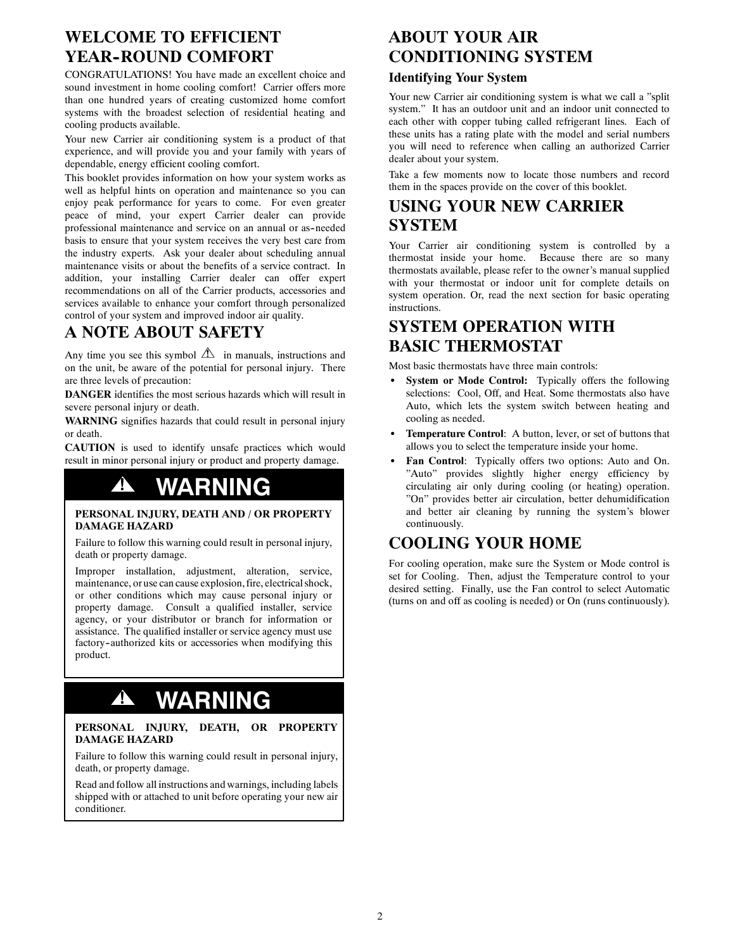# **WELCOME TO EFFICIENT YEAR--ROUND COMFORT**

CONGRATULATIONS! You have made an excellent choice and sound investment in home cooling comfort! Carrier offers more than one hundred years of creating customized home comfort systems with the broadest selection of residential heating and cooling products available.

Your new Carrier air conditioning system is a product of that experience, and will provide you and your family with years of dependable, energy efficient cooling comfort.

This booklet provides information on how your system works as well as helpful hints on operation and maintenance so you can enjoy peak performance for years to come. For even greater peace of mind, your expert Carrier dealer can provide professional maintenance and service on an annual or as--needed basis to ensure that your system receives the very best care from the industry experts. Ask your dealer about scheduling annual maintenance visits or about the benefits of a service contract. In addition, your installing Carrier dealer can offer expert recommendations on all of the Carrier products, accessories and services available to enhance your comfort through personalized control of your system and improved indoor air quality.

# **A NOTE ABOUT SAFETY**

Any time you see this symbol  $\triangle$  in manuals, instructions and on the unit, be aware of the potential for personal injury. There are three levels of precaution:

**DANGER** identifies the most serious hazards which will result in severe personal injury or death.

**WARNING** signifies hazards that could result in personal injury or death.

**CAUTION** is used to identify unsafe practices which would result in minor personal injury or product and property damage.

# **! WARNING**

#### **PERSONAL INJURY, DEATH AND / OR PROPERTY DAMAGE HAZARD**

Failure to follow this warning could result in personal injury, death or property damage.

Improper installation, adjustment, alteration, service, maintenance, or use can cause explosion, fire, electrical shock, or other conditions which may cause personal injury or property damage. Consult a qualified installer, service agency, or your distributor or branch for information or assistance. The qualified installer or service agency must use factory-authorized kits or accessories when modifying this product.

# **! WARNING**

#### **PERSONAL INJURY, DEATH, OR PROPERTY DAMAGE HAZARD**

Failure to follow this warning could result in personal injury, death, or property damage.

Read and follow all instructions and warnings, including labels shipped with or attached to unit before operating your new air conditioner.

## **ABOUT YOUR AIR CONDITIONING SYSTEM**

### **Identifying Your System**

Your new Carrier air conditioning system is what we call a "split system." It has an outdoor unit and an indoor unit connected to each other with copper tubing called refrigerant lines. Each of these units has a rating plate with the model and serial numbers you will need to reference when calling an authorized Carrier dealer about your system.

Take a few moments now to locate those numbers and record them in the spaces provide on the cover of this booklet.

## **USING YOUR NEW CARRIER SYSTEM**

Your Carrier air conditioning system is controlled by a thermostat inside your home. Because there are so many thermostats available, please refer to the owner's manual supplied with your thermostat or indoor unit for complete details on system operation. Or, read the next section for basic operating instructions.

## **SYSTEM OPERATION WITH BASIC THERMOSTAT**

Most basic thermostats have three main controls:

- System or Mode Control: Typically offers the following selections: Cool, Off, and Heat. Some thermostats also have Auto, which lets the system switch between heating and cooling as needed.
- Temperature Control: A button, lever, or set of buttons that allows you to select the temperature inside your home.
- Fan Control: Typically offers two options: Auto and On. "Auto" provides slightly higher energy efficiency by circulating air only during cooling (or heating) operation. "On" provides better air circulation, better dehumidification and better air cleaning by running the system's blower continuously.

## **COOLING YOUR HOME**

For cooling operation, make sure the System or Mode control is set for Cooling. Then, adjust the Temperature control to your desired setting. Finally, use the Fan control to select Automatic (turns on and off as cooling is needed) or On (runs continuously).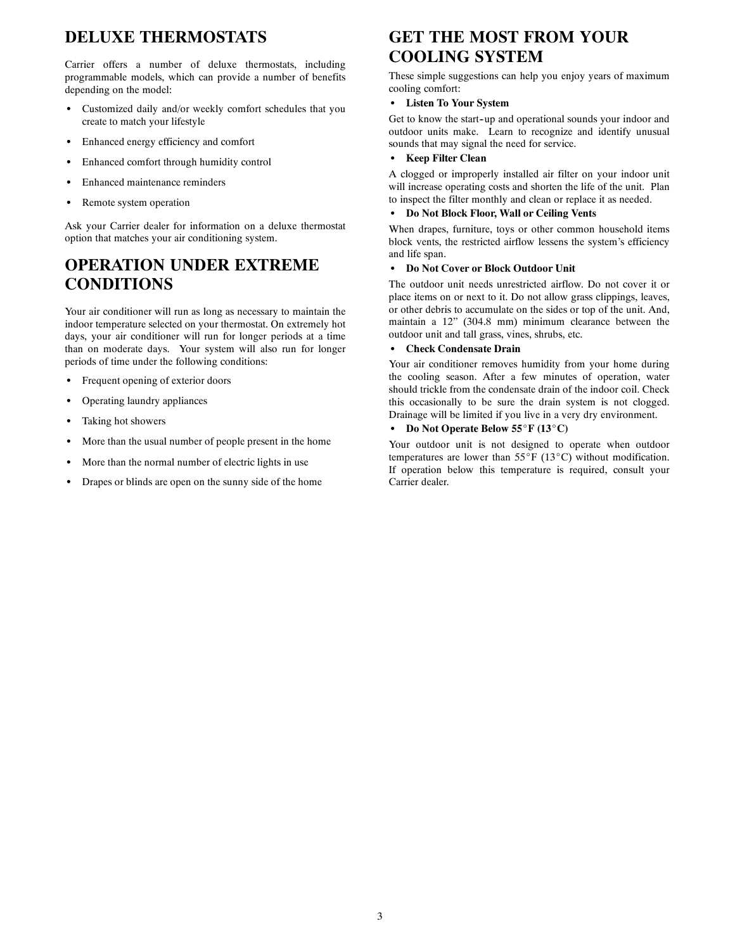# **DELUXE THERMOSTATS**

Carrier offers a number of deluxe thermostats, including programmable models, which can provide a number of benefits depending on the model:

- Customized daily and/or weekly comfort schedules that you create to match your lifestyle
- Enhanced energy efficiency and comfort
- Enhanced comfort through humidity control
- Enhanced maintenance reminders
- Remote system operation

Ask your Carrier dealer for information on a deluxe thermostat option that matches your air conditioning system.

# **OPERATION UNDER EXTREME CONDITIONS**

Your air conditioner will run as long as necessary to maintain the indoor temperature selected on your thermostat. On extremely hot days, your air conditioner will run for longer periods at a time than on moderate days. Your system will also run for longer periods of time under the following conditions:

- Frequent opening of exterior doors
- Operating laundry appliances
- Taking hot showers
- More than the usual number of people present in the home
- More than the normal number of electric lights in use
- Drapes or blinds are open on the sunny side of the home

# **GET THE MOST FROM YOUR COOLING SYSTEM**

These simple suggestions can help you enjoy years of maximum cooling comfort:

### **•** Listen To Your System

Get to know the start--up and operational sounds your indoor and outdoor units make. Learn to recognize and identify unusual sounds that may signal the need for service.

### **Keep Filter Clean**

A clogged or improperly installed air filter on your indoor unit will increase operating costs and shorten the life of the unit. Plan to inspect the filter monthly and clean or replace it as needed.

### S **Do Not Block Floor, Wall or Ceiling Vents**

When drapes, furniture, toys or other common household items block vents, the restricted airflow lessens the system's efficiency and life span.

### **• Do Not Cover or Block Outdoor Unit**

The outdoor unit needs unrestricted airflow. Do not cover it or place items on or next to it. Do not allow grass clippings, leaves, or other debris to accumulate on the sides or top of the unit. And, maintain a 12" (304.8 mm) minimum clearance between the outdoor unit and tall grass, vines, shrubs, etc.

### **Check Condensate Drain**

Your air conditioner removes humidity from your home during the cooling season. After a few minutes of operation, water should trickle from the condensate drain of the indoor coil. Check this occasionally to be sure the drain system is not clogged. Drainage will be limited if you live in a very dry environment.

### Do Not Operate Below 55°F (13°C)

Your outdoor unit is not designed to operate when outdoor temperatures are lower than  $55^{\circ}F$  (13 $^{\circ}C$ ) without modification. If operation below this temperature is required, consult your Carrier dealer.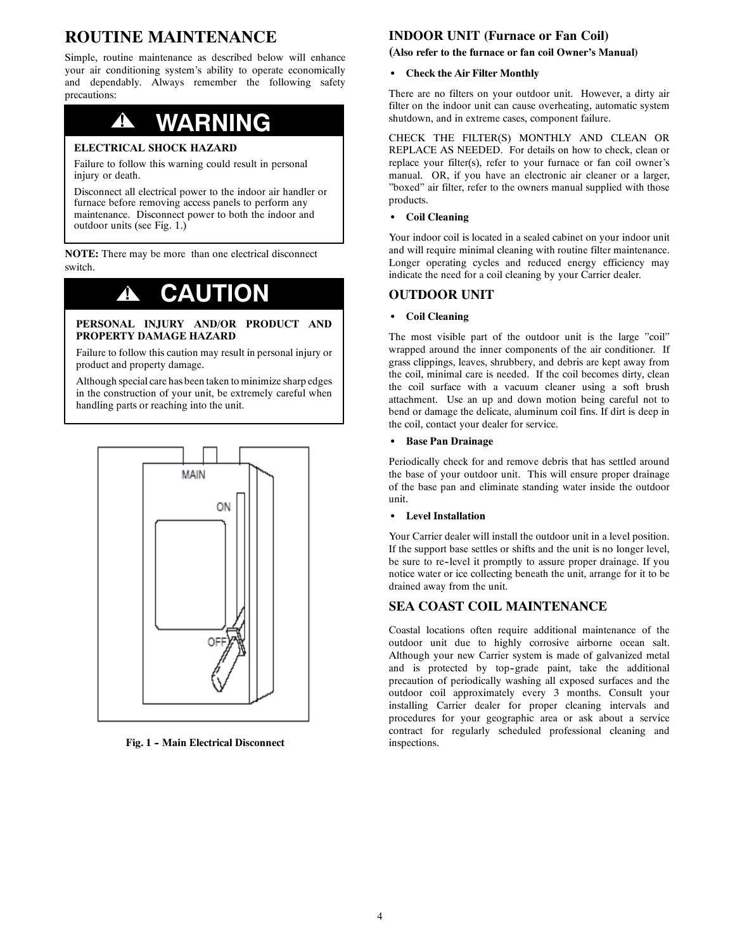# **ROUTINE MAINTENANCE**

Simple, routine maintenance as described below will enhance your air conditioning system's ability to operate economically and dependably. Always remember the following safety precautions:

# **! WARNING**

#### **ELECTRICAL SHOCK HAZARD**

Failure to follow this warning could result in personal injury or death.

Disconnect all electrical power to the indoor air handler or furnace before removing access panels to perform any maintenance. Disconnect power to both the indoor and outdoor units (see Fig. 1.)

**NOTE:** There may be more than one electrical disconnect switch.

# **! CAUTION**

#### **PERSONAL INJURY AND/OR PRODUCT AND PROPERTY DAMAGE HAZARD**

Failure to follow this caution may result in personal injury or product and property damage.

Although special care has been taken to minimize sharp edges in the construction of your unit, be extremely careful when handling parts or reaching into the unit.



**Fig. 1 -- Main Electrical Disconnect**

### **INDOOR UNIT (Furnace or Fan Coil)**

#### **(Also refer to the furnace or fan coil Owner's Manual)**

#### **• Check the Air Filter Monthly**

There are no filters on your outdoor unit. However, a dirty air filter on the indoor unit can cause overheating, automatic system shutdown, and in extreme cases, component failure.

CHECK THE FILTER(S) MONTHLY AND CLEAN OR REPLACE AS NEEDED. For details on how to check, clean or replace your filter(s), refer to your furnace or fan coil owner's manual. OR, if you have an electronic air cleaner or a larger, "boxed" air filter, refer to the owners manual supplied with those products.

#### **•** Coil Cleaning

Your indoor coil is located in a sealed cabinet on your indoor unit and will require minimal cleaning with routine filter maintenance. Longer operating cycles and reduced energy efficiency may indicate the need for a coil cleaning by your Carrier dealer.

### **OUTDOOR UNIT**

#### **•** Coil Cleaning

The most visible part of the outdoor unit is the large "coil" wrapped around the inner components of the air conditioner. If grass clippings, leaves, shrubbery, and debris are kept away from the coil, minimal care is needed. If the coil becomes dirty, clean the coil surface with a vacuum cleaner using a soft brush attachment. Use an up and down motion being careful not to bend or damage the delicate, aluminum coil fins. If dirt is deep in the coil, contact your dealer for service.

#### S **Base Pan Drainage**

Periodically check for and remove debris that has settled around the base of your outdoor unit. This will ensure proper drainage of the base pan and eliminate standing water inside the outdoor unit.

#### **•** Level Installation

Your Carrier dealer will install the outdoor unit in a level position. If the support base settles or shifts and the unit is no longer level, be sure to re--level it promptly to assure proper drainage. If you notice water or ice collecting beneath the unit, arrange for it to be drained away from the unit.

### **SEA COAST COIL MAINTENANCE**

Coastal locations often require additional maintenance of the outdoor unit due to highly corrosive airborne ocean salt. Although your new Carrier system is made of galvanized metal and is protected by top-grade paint, take the additional precaution of periodically washing all exposed surfaces and the outdoor coil approximately every 3 months. Consult your installing Carrier dealer for proper cleaning intervals and procedures for your geographic area or ask about a service contract for regularly scheduled professional cleaning and inspections.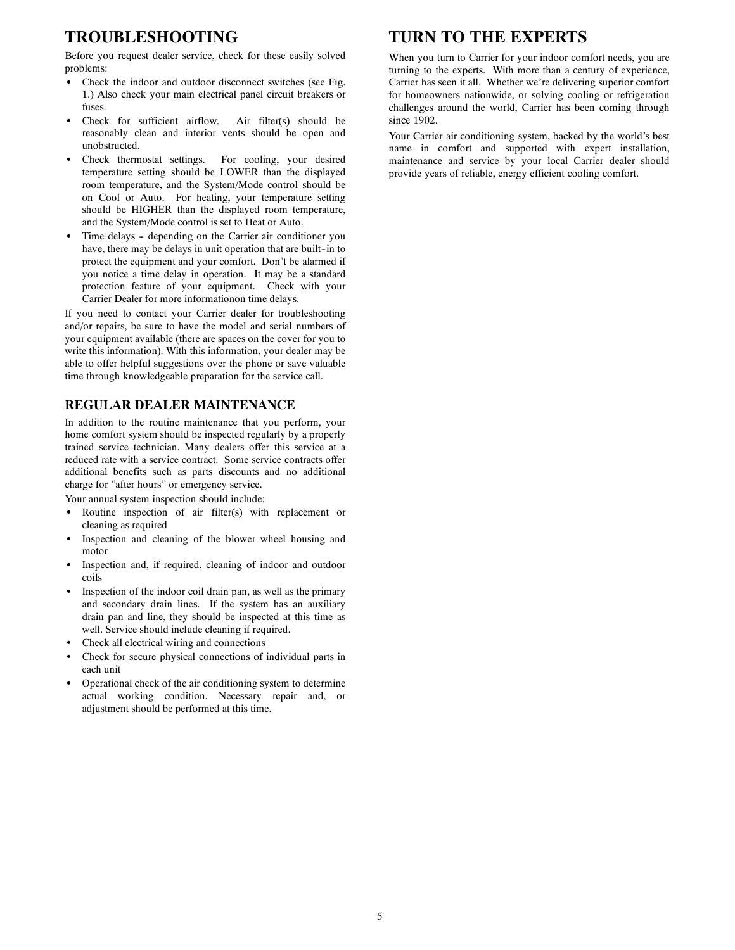## **TROUBLESHOOTING**

Before you request dealer service, check for these easily solved problems:

- Check the indoor and outdoor disconnect switches (see Fig. 1.) Also check your main electrical panel circuit breakers or fuses.
- Check for sufficient airflow. Air filter(s) should be reasonably clean and interior vents should be open and unobstructed.
- Check thermostat settings. For cooling, your desired temperature setting should be LOWER than the displayed room temperature, and the System/Mode control should be on Cool or Auto. For heating, your temperature setting should be HIGHER than the displayed room temperature, and the System/Mode control is set to Heat or Auto.
- Time delays depending on the Carrier air conditioner you have, there may be delays in unit operation that are built-in to protect the equipment and your comfort. Don't be alarmed if you notice a time delay in operation. It may be a standard protection feature of your equipment. Check with your Carrier Dealer for more informationon time delays.

If you need to contact your Carrier dealer for troubleshooting and/or repairs, be sure to have the model and serial numbers of your equipment available (there are spaces on the cover for you to write this information). With this information, your dealer may be able to offer helpful suggestions over the phone or save valuable time through knowledgeable preparation for the service call.

### **REGULAR DEALER MAINTENANCE**

In addition to the routine maintenance that you perform, your home comfort system should be inspected regularly by a properly trained service technician. Many dealers offer this service at a reduced rate with a service contract. Some service contracts offer additional benefits such as parts discounts and no additional charge for "after hours" or emergency service.

Your annual system inspection should include:

- Routine inspection of air filter(s) with replacement or cleaning as required
- Inspection and cleaning of the blower wheel housing and motor
- Inspection and, if required, cleaning of indoor and outdoor coils
- Inspection of the indoor coil drain pan, as well as the primary and secondary drain lines. If the system has an auxiliary drain pan and line, they should be inspected at this time as well. Service should include cleaning if required.
- Check all electrical wiring and connections
- Check for secure physical connections of individual parts in each unit
- Operational check of the air conditioning system to determine actual working condition. Necessary repair and, or adjustment should be performed at this time.

## **TURN TO THE EXPERTS**

When you turn to Carrier for your indoor comfort needs, you are turning to the experts. With more than a century of experience, Carrier has seen it all. Whether we're delivering superior comfort for homeowners nationwide, or solving cooling or refrigeration challenges around the world, Carrier has been coming through since 1902.

Your Carrier air conditioning system, backed by the world's best name in comfort and supported with expert installation, maintenance and service by your local Carrier dealer should provide years of reliable, energy efficient cooling comfort.